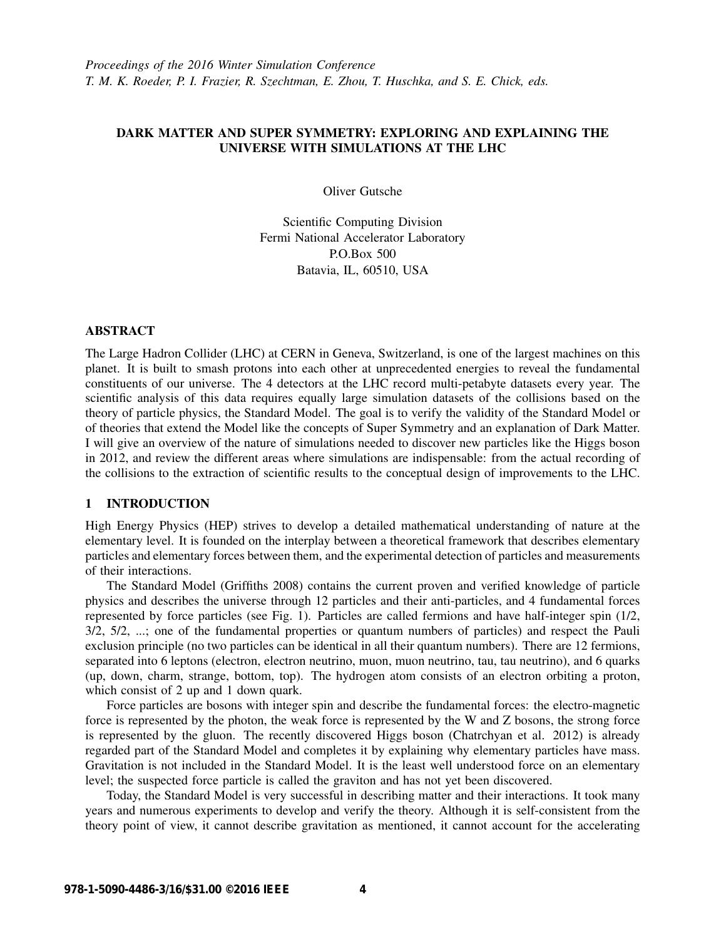# DARK MATTER AND SUPER SYMMETRY: EXPLORING AND EXPLAINING THE UNIVERSE WITH SIMULATIONS AT THE LHC

Oliver Gutsche

Scientific Computing Division Fermi National Accelerator Laboratory P.O.Box 500 Batavia, IL, 60510, USA

### ABSTRACT

The Large Hadron Collider (LHC) at CERN in Geneva, Switzerland, is one of the largest machines on this planet. It is built to smash protons into each other at unprecedented energies to reveal the fundamental constituents of our universe. The 4 detectors at the LHC record multi-petabyte datasets every year. The scientific analysis of this data requires equally large simulation datasets of the collisions based on the theory of particle physics, the Standard Model. The goal is to verify the validity of the Standard Model or of theories that extend the Model like the concepts of Super Symmetry and an explanation of Dark Matter. I will give an overview of the nature of simulations needed to discover new particles like the Higgs boson in 2012, and review the different areas where simulations are indispensable: from the actual recording of the collisions to the extraction of scientific results to the conceptual design of improvements to the LHC.

#### 1 INTRODUCTION

High Energy Physics (HEP) strives to develop a detailed mathematical understanding of nature at the elementary level. It is founded on the interplay between a theoretical framework that describes elementary particles and elementary forces between them, and the experimental detection of particles and measurements of their interactions.

The Standard Model (Griffiths 2008) contains the current proven and verified knowledge of particle physics and describes the universe through 12 particles and their anti-particles, and 4 fundamental forces represented by force particles (see Fig. 1). Particles are called fermions and have half-integer spin (1/2, 3/2, 5/2, ...; one of the fundamental properties or quantum numbers of particles) and respect the Pauli exclusion principle (no two particles can be identical in all their quantum numbers). There are 12 fermions, separated into 6 leptons (electron, electron neutrino, muon, muon neutrino, tau, tau neutrino), and 6 quarks (up, down, charm, strange, bottom, top). The hydrogen atom consists of an electron orbiting a proton, which consist of 2 up and 1 down quark.

Force particles are bosons with integer spin and describe the fundamental forces: the electro-magnetic force is represented by the photon, the weak force is represented by the W and Z bosons, the strong force is represented by the gluon. The recently discovered Higgs boson (Chatrchyan et al. 2012) is already regarded part of the Standard Model and completes it by explaining why elementary particles have mass. Gravitation is not included in the Standard Model. It is the least well understood force on an elementary level; the suspected force particle is called the graviton and has not yet been discovered.

Today, the Standard Model is very successful in describing matter and their interactions. It took many years and numerous experiments to develop and verify the theory. Although it is self-consistent from the theory point of view, it cannot describe gravitation as mentioned, it cannot account for the accelerating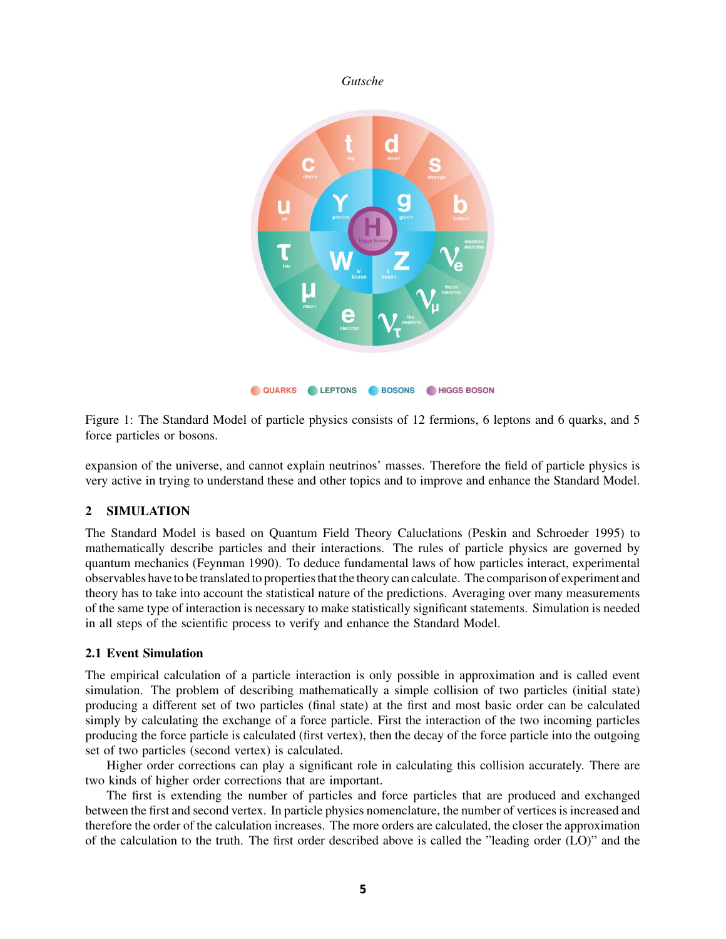

Figure 1: The Standard Model of particle physics consists of 12 fermions, 6 leptons and 6 quarks, and 5 force particles or bosons.

expansion of the universe, and cannot explain neutrinos' masses. Therefore the field of particle physics is very active in trying to understand these and other topics and to improve and enhance the Standard Model.

# 2 SIMULATION

The Standard Model is based on Quantum Field Theory Caluclations (Peskin and Schroeder 1995) to mathematically describe particles and their interactions. The rules of particle physics are governed by quantum mechanics (Feynman 1990). To deduce fundamental laws of how particles interact, experimental observables have to be translated to properties that the theory can calculate. The comparison of experiment and theory has to take into account the statistical nature of the predictions. Averaging over many measurements of the same type of interaction is necessary to make statistically significant statements. Simulation is needed in all steps of the scientific process to verify and enhance the Standard Model.

### 2.1 Event Simulation

The empirical calculation of a particle interaction is only possible in approximation and is called event simulation. The problem of describing mathematically a simple collision of two particles (initial state) producing a different set of two particles (final state) at the first and most basic order can be calculated simply by calculating the exchange of a force particle. First the interaction of the two incoming particles producing the force particle is calculated (first vertex), then the decay of the force particle into the outgoing set of two particles (second vertex) is calculated.

Higher order corrections can play a significant role in calculating this collision accurately. There are two kinds of higher order corrections that are important.

The first is extending the number of particles and force particles that are produced and exchanged between the first and second vertex. In particle physics nomenclature, the number of vertices is increased and therefore the order of the calculation increases. The more orders are calculated, the closer the approximation of the calculation to the truth. The first order described above is called the "leading order (LO)" and the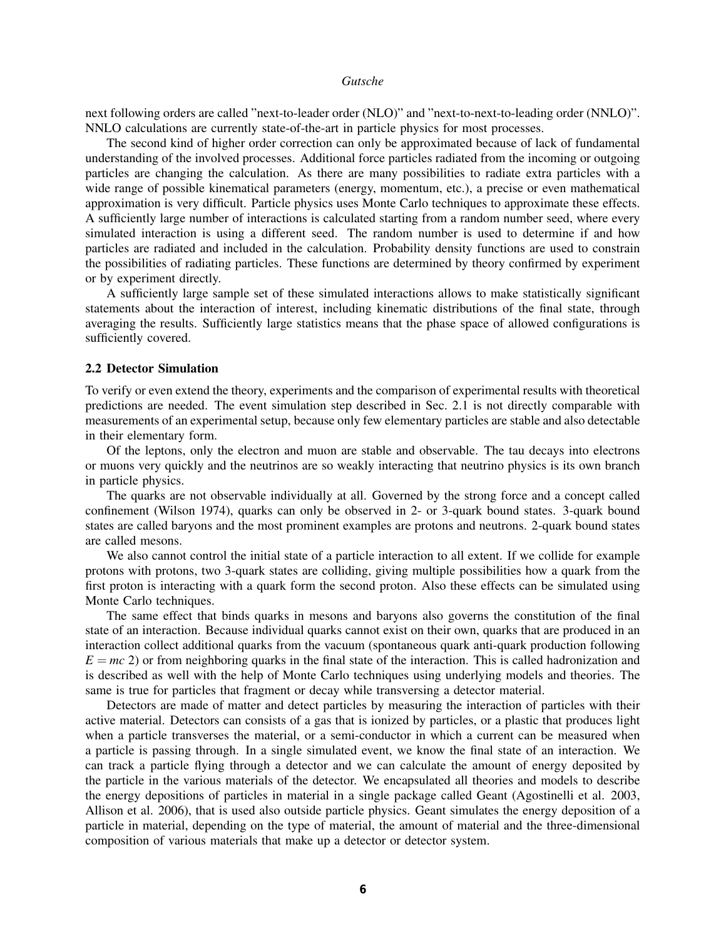next following orders are called "next-to-leader order (NLO)" and "next-to-next-to-leading order (NNLO)". NNLO calculations are currently state-of-the-art in particle physics for most processes.

The second kind of higher order correction can only be approximated because of lack of fundamental understanding of the involved processes. Additional force particles radiated from the incoming or outgoing particles are changing the calculation. As there are many possibilities to radiate extra particles with a wide range of possible kinematical parameters (energy, momentum, etc.), a precise or even mathematical approximation is very difficult. Particle physics uses Monte Carlo techniques to approximate these effects. A sufficiently large number of interactions is calculated starting from a random number seed, where every simulated interaction is using a different seed. The random number is used to determine if and how particles are radiated and included in the calculation. Probability density functions are used to constrain the possibilities of radiating particles. These functions are determined by theory confirmed by experiment or by experiment directly.

A sufficiently large sample set of these simulated interactions allows to make statistically significant statements about the interaction of interest, including kinematic distributions of the final state, through averaging the results. Sufficiently large statistics means that the phase space of allowed configurations is sufficiently covered.

### 2.2 Detector Simulation

To verify or even extend the theory, experiments and the comparison of experimental results with theoretical predictions are needed. The event simulation step described in Sec. 2.1 is not directly comparable with measurements of an experimental setup, because only few elementary particles are stable and also detectable in their elementary form.

Of the leptons, only the electron and muon are stable and observable. The tau decays into electrons or muons very quickly and the neutrinos are so weakly interacting that neutrino physics is its own branch in particle physics.

The quarks are not observable individually at all. Governed by the strong force and a concept called confinement (Wilson 1974), quarks can only be observed in 2- or 3-quark bound states. 3-quark bound states are called baryons and the most prominent examples are protons and neutrons. 2-quark bound states are called mesons.

We also cannot control the initial state of a particle interaction to all extent. If we collide for example protons with protons, two 3-quark states are colliding, giving multiple possibilities how a quark from the first proton is interacting with a quark form the second proton. Also these effects can be simulated using Monte Carlo techniques.

The same effect that binds quarks in mesons and baryons also governs the constitution of the final state of an interaction. Because individual quarks cannot exist on their own, quarks that are produced in an interaction collect additional quarks from the vacuum (spontaneous quark anti-quark production following  $E = mc$  2) or from neighboring quarks in the final state of the interaction. This is called hadronization and is described as well with the help of Monte Carlo techniques using underlying models and theories. The same is true for particles that fragment or decay while transversing a detector material.

Detectors are made of matter and detect particles by measuring the interaction of particles with their active material. Detectors can consists of a gas that is ionized by particles, or a plastic that produces light when a particle transverses the material, or a semi-conductor in which a current can be measured when a particle is passing through. In a single simulated event, we know the final state of an interaction. We can track a particle flying through a detector and we can calculate the amount of energy deposited by the particle in the various materials of the detector. We encapsulated all theories and models to describe the energy depositions of particles in material in a single package called Geant (Agostinelli et al. 2003, Allison et al. 2006), that is used also outside particle physics. Geant simulates the energy deposition of a particle in material, depending on the type of material, the amount of material and the three-dimensional composition of various materials that make up a detector or detector system.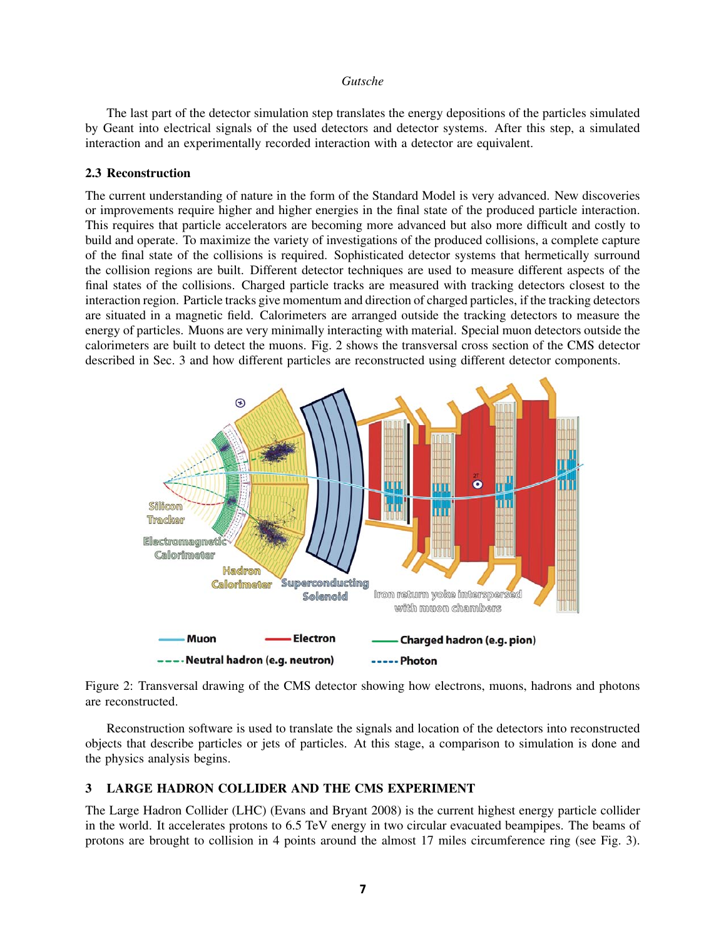The last part of the detector simulation step translates the energy depositions of the particles simulated by Geant into electrical signals of the used detectors and detector systems. After this step, a simulated interaction and an experimentally recorded interaction with a detector are equivalent.

### 2.3 Reconstruction

The current understanding of nature in the form of the Standard Model is very advanced. New discoveries or improvements require higher and higher energies in the final state of the produced particle interaction. This requires that particle accelerators are becoming more advanced but also more difficult and costly to build and operate. To maximize the variety of investigations of the produced collisions, a complete capture of the final state of the collisions is required. Sophisticated detector systems that hermetically surround the collision regions are built. Different detector techniques are used to measure different aspects of the final states of the collisions. Charged particle tracks are measured with tracking detectors closest to the interaction region. Particle tracks give momentum and direction of charged particles, if the tracking detectors are situated in a magnetic field. Calorimeters are arranged outside the tracking detectors to measure the energy of particles. Muons are very minimally interacting with material. Special muon detectors outside the calorimeters are built to detect the muons. Fig. 2 shows the transversal cross section of the CMS detector described in Sec. 3 and how different particles are reconstructed using different detector components.



Figure 2: Transversal drawing of the CMS detector showing how electrons, muons, hadrons and photons are reconstructed.

Reconstruction software is used to translate the signals and location of the detectors into reconstructed objects that describe particles or jets of particles. At this stage, a comparison to simulation is done and the physics analysis begins.

# 3 LARGE HADRON COLLIDER AND THE CMS EXPERIMENT

The Large Hadron Collider (LHC) (Evans and Bryant 2008) is the current highest energy particle collider in the world. It accelerates protons to 6.5 TeV energy in two circular evacuated beampipes. The beams of protons are brought to collision in 4 points around the almost 17 miles circumference ring (see Fig. 3).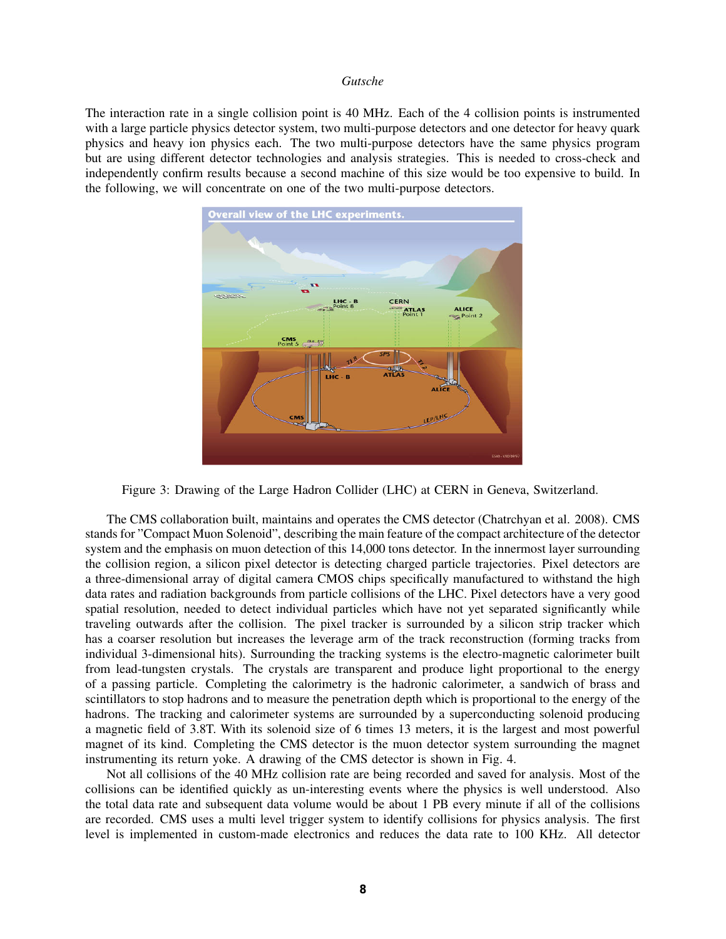The interaction rate in a single collision point is 40 MHz. Each of the 4 collision points is instrumented with a large particle physics detector system, two multi-purpose detectors and one detector for heavy quark physics and heavy ion physics each. The two multi-purpose detectors have the same physics program but are using different detector technologies and analysis strategies. This is needed to cross-check and independently confirm results because a second machine of this size would be too expensive to build. In the following, we will concentrate on one of the two multi-purpose detectors.



Figure 3: Drawing of the Large Hadron Collider (LHC) at CERN in Geneva, Switzerland.

The CMS collaboration built, maintains and operates the CMS detector (Chatrchyan et al. 2008). CMS stands for "Compact Muon Solenoid", describing the main feature of the compact architecture of the detector system and the emphasis on muon detection of this 14,000 tons detector. In the innermost layer surrounding the collision region, a silicon pixel detector is detecting charged particle trajectories. Pixel detectors are a three-dimensional array of digital camera CMOS chips specifically manufactured to withstand the high data rates and radiation backgrounds from particle collisions of the LHC. Pixel detectors have a very good spatial resolution, needed to detect individual particles which have not yet separated significantly while traveling outwards after the collision. The pixel tracker is surrounded by a silicon strip tracker which has a coarser resolution but increases the leverage arm of the track reconstruction (forming tracks from individual 3-dimensional hits). Surrounding the tracking systems is the electro-magnetic calorimeter built from lead-tungsten crystals. The crystals are transparent and produce light proportional to the energy of a passing particle. Completing the calorimetry is the hadronic calorimeter, a sandwich of brass and scintillators to stop hadrons and to measure the penetration depth which is proportional to the energy of the hadrons. The tracking and calorimeter systems are surrounded by a superconducting solenoid producing a magnetic field of 3.8T. With its solenoid size of 6 times 13 meters, it is the largest and most powerful magnet of its kind. Completing the CMS detector is the muon detector system surrounding the magnet instrumenting its return yoke. A drawing of the CMS detector is shown in Fig. 4.

Not all collisions of the 40 MHz collision rate are being recorded and saved for analysis. Most of the collisions can be identified quickly as un-interesting events where the physics is well understood. Also the total data rate and subsequent data volume would be about 1 PB every minute if all of the collisions are recorded. CMS uses a multi level trigger system to identify collisions for physics analysis. The first level is implemented in custom-made electronics and reduces the data rate to 100 KHz. All detector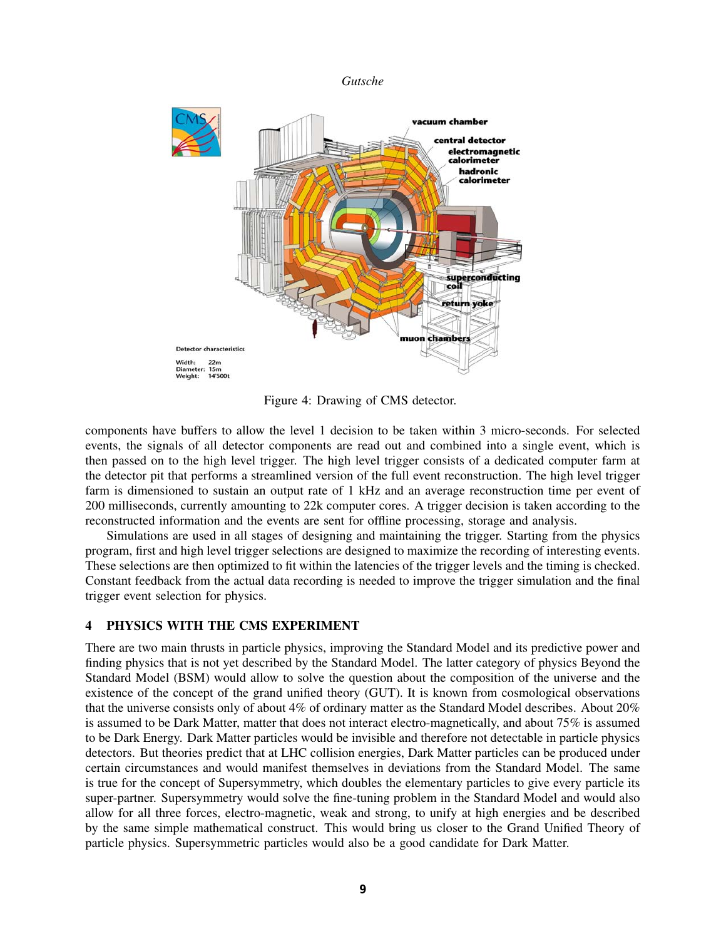

Figure 4: Drawing of CMS detector.

components have buffers to allow the level 1 decision to be taken within 3 micro-seconds. For selected events, the signals of all detector components are read out and combined into a single event, which is then passed on to the high level trigger. The high level trigger consists of a dedicated computer farm at the detector pit that performs a streamlined version of the full event reconstruction. The high level trigger farm is dimensioned to sustain an output rate of 1 kHz and an average reconstruction time per event of 200 milliseconds, currently amounting to 22k computer cores. A trigger decision is taken according to the reconstructed information and the events are sent for offline processing, storage and analysis.

Simulations are used in all stages of designing and maintaining the trigger. Starting from the physics program, first and high level trigger selections are designed to maximize the recording of interesting events. These selections are then optimized to fit within the latencies of the trigger levels and the timing is checked. Constant feedback from the actual data recording is needed to improve the trigger simulation and the final trigger event selection for physics.

# 4 PHYSICS WITH THE CMS EXPERIMENT

There are two main thrusts in particle physics, improving the Standard Model and its predictive power and finding physics that is not yet described by the Standard Model. The latter category of physics Beyond the Standard Model (BSM) would allow to solve the question about the composition of the universe and the existence of the concept of the grand unified theory (GUT). It is known from cosmological observations that the universe consists only of about 4% of ordinary matter as the Standard Model describes. About 20% is assumed to be Dark Matter, matter that does not interact electro-magnetically, and about 75% is assumed to be Dark Energy. Dark Matter particles would be invisible and therefore not detectable in particle physics detectors. But theories predict that at LHC collision energies, Dark Matter particles can be produced under certain circumstances and would manifest themselves in deviations from the Standard Model. The same is true for the concept of Supersymmetry, which doubles the elementary particles to give every particle its super-partner. Supersymmetry would solve the fine-tuning problem in the Standard Model and would also allow for all three forces, electro-magnetic, weak and strong, to unify at high energies and be described by the same simple mathematical construct. This would bring us closer to the Grand Unified Theory of particle physics. Supersymmetric particles would also be a good candidate for Dark Matter.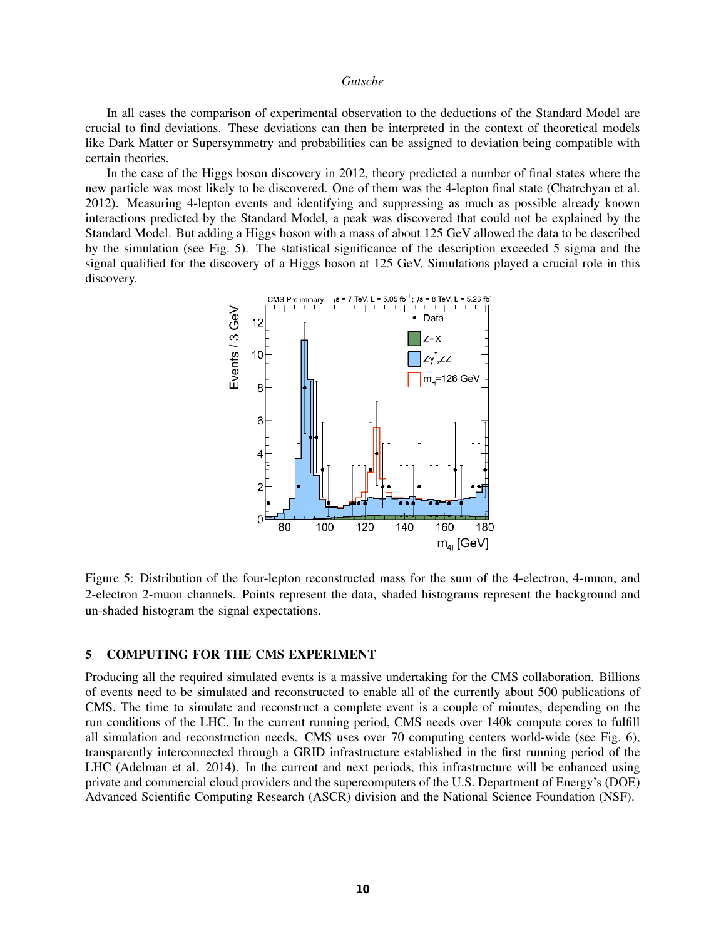In all cases the comparison of experimental observation to the deductions of the Standard Model are crucial to find deviations. These deviations can then be interpreted in the context of theoretical models like Dark Matter or Supersymmetry and probabilities can be assigned to deviation being compatible with certain theories.

In the case of the Higgs boson discovery in 2012, theory predicted a number of final states where the new particle was most likely to be discovered. One of them was the 4-lepton final state (Chatrchyan et al. 2012). Measuring 4-lepton events and identifying and suppressing as much as possible already known interactions predicted by the Standard Model, a peak was discovered that could not be explained by the Standard Model. But adding a Higgs boson with a mass of about 125 GeV allowed the data to be described by the simulation (see Fig. 5). The statistical significance of the description exceeded 5 sigma and the signal qualified for the discovery of a Higgs boson at 125 GeV. Simulations played a crucial role in this discovery.



Figure 5: Distribution of the four-lepton reconstructed mass for the sum of the 4-electron, 4-muon, and 2-electron 2-muon channels. Points represent the data, shaded histograms represent the background and un-shaded histogram the signal expectations.

#### 5 COMPUTING FOR THE CMS EXPERIMENT

Producing all the required simulated events is a massive undertaking for the CMS collaboration. Billions of events need to be simulated and reconstructed to enable all of the currently about 500 publications of CMS. The time to simulate and reconstruct a complete event is a couple of minutes, depending on the run conditions of the LHC. In the current running period, CMS needs over 140k compute cores to fulfill all simulation and reconstruction needs. CMS uses over 70 computing centers world-wide (see Fig. 6), transparently interconnected through a GRID infrastructure established in the first running period of the LHC (Adelman et al. 2014). In the current and next periods, this infrastructure will be enhanced using private and commercial cloud providers and the supercomputers of the U.S. Department of Energy's (DOE) Advanced Scientific Computing Research (ASCR) division and the National Science Foundation (NSF).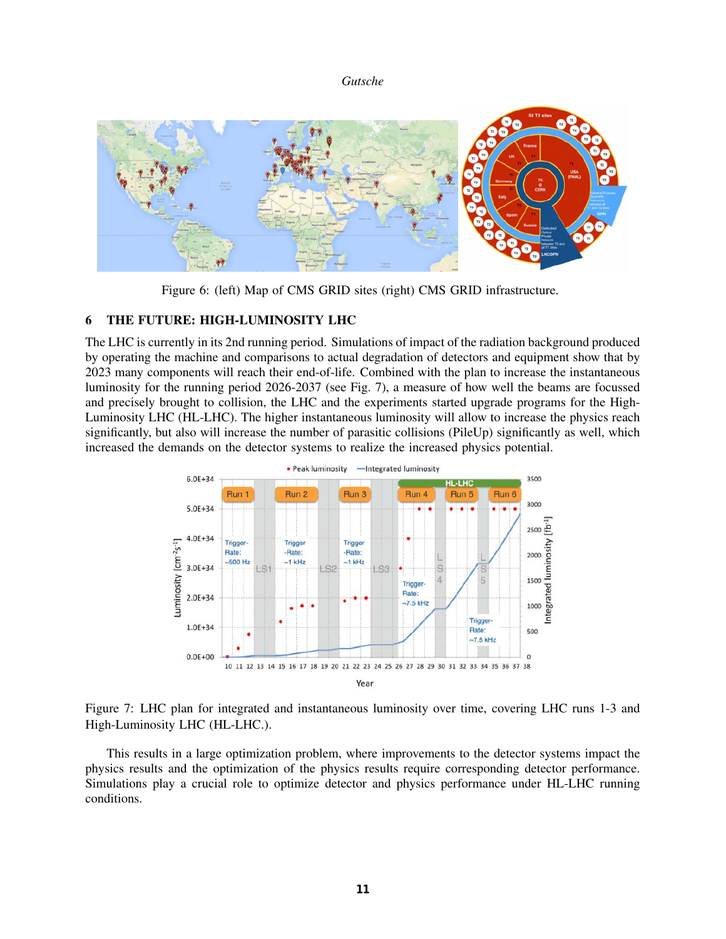

Figure 6: (left) Map of CMS GRID sites (right) CMS GRID infrastructure.

# 6 THE FUTURE: HIGH-LUMINOSITY LHC

The LHC is currently in its 2nd running period. Simulations of impact of the radiation background produced by operating the machine and comparisons to actual degradation of detectors and equipment show that by 2023 many components will reach their end-of-life. Combined with the plan to increase the instantaneous luminosity for the running period 2026-2037 (see Fig. 7), a measure of how well the beams are focussed and precisely brought to collision, the LHC and the experiments started upgrade programs for the High-Luminosity LHC (HL-LHC). The higher instantaneous luminosity will allow to increase the physics reach significantly, but also will increase the number of parasitic collisions (PileUp) significantly as well, which increased the demands on the detector systems to realize the increased physics potential.



Figure 7: LHC plan for integrated and instantaneous luminosity over time, covering LHC runs 1-3 and High-Luminosity LHC (HL-LHC.).

This results in a large optimization problem, where improvements to the detector systems impact the physics results and the optimization of the physics results require corresponding detector performance. Simulations play a crucial role to optimize detector and physics performance under HL-LHC running conditions.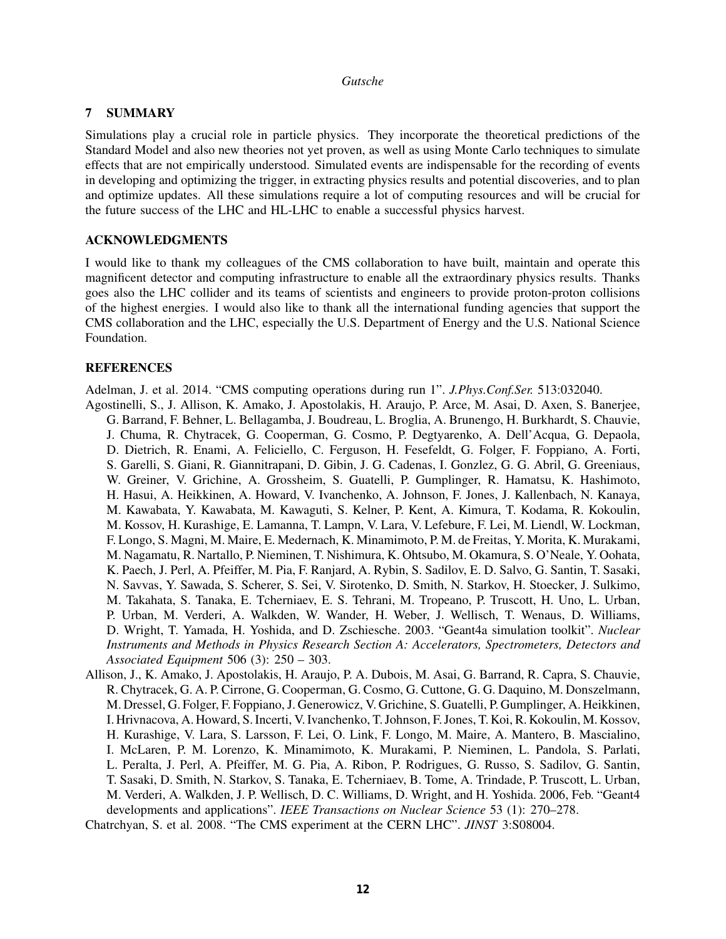# 7 SUMMARY

Simulations play a crucial role in particle physics. They incorporate the theoretical predictions of the Standard Model and also new theories not yet proven, as well as using Monte Carlo techniques to simulate effects that are not empirically understood. Simulated events are indispensable for the recording of events in developing and optimizing the trigger, in extracting physics results and potential discoveries, and to plan and optimize updates. All these simulations require a lot of computing resources and will be crucial for the future success of the LHC and HL-LHC to enable a successful physics harvest.

# ACKNOWLEDGMENTS

I would like to thank my colleagues of the CMS collaboration to have built, maintain and operate this magnificent detector and computing infrastructure to enable all the extraordinary physics results. Thanks goes also the LHC collider and its teams of scientists and engineers to provide proton-proton collisions of the highest energies. I would also like to thank all the international funding agencies that support the CMS collaboration and the LHC, especially the U.S. Department of Energy and the U.S. National Science Foundation.

# **REFERENCES**

Adelman, J. et al. 2014. "CMS computing operations during run 1". *J.Phys.Conf.Ser.* 513:032040.

- Agostinelli, S., J. Allison, K. Amako, J. Apostolakis, H. Araujo, P. Arce, M. Asai, D. Axen, S. Banerjee, G. Barrand, F. Behner, L. Bellagamba, J. Boudreau, L. Broglia, A. Brunengo, H. Burkhardt, S. Chauvie, J. Chuma, R. Chytracek, G. Cooperman, G. Cosmo, P. Degtyarenko, A. Dell'Acqua, G. Depaola, D. Dietrich, R. Enami, A. Feliciello, C. Ferguson, H. Fesefeldt, G. Folger, F. Foppiano, A. Forti, S. Garelli, S. Giani, R. Giannitrapani, D. Gibin, J. G. Cadenas, I. Gonzlez, G. G. Abril, G. Greeniaus, W. Greiner, V. Grichine, A. Grossheim, S. Guatelli, P. Gumplinger, R. Hamatsu, K. Hashimoto, H. Hasui, A. Heikkinen, A. Howard, V. Ivanchenko, A. Johnson, F. Jones, J. Kallenbach, N. Kanaya, M. Kawabata, Y. Kawabata, M. Kawaguti, S. Kelner, P. Kent, A. Kimura, T. Kodama, R. Kokoulin, M. Kossov, H. Kurashige, E. Lamanna, T. Lampn, V. Lara, V. Lefebure, F. Lei, M. Liendl, W. Lockman, F. Longo, S. Magni, M. Maire, E. Medernach, K. Minamimoto, P. M. de Freitas, Y. Morita, K. Murakami, M. Nagamatu, R. Nartallo, P. Nieminen, T. Nishimura, K. Ohtsubo, M. Okamura, S. O'Neale, Y. Oohata, K. Paech, J. Perl, A. Pfeiffer, M. Pia, F. Ranjard, A. Rybin, S. Sadilov, E. D. Salvo, G. Santin, T. Sasaki, N. Savvas, Y. Sawada, S. Scherer, S. Sei, V. Sirotenko, D. Smith, N. Starkov, H. Stoecker, J. Sulkimo, M. Takahata, S. Tanaka, E. Tcherniaev, E. S. Tehrani, M. Tropeano, P. Truscott, H. Uno, L. Urban, P. Urban, M. Verderi, A. Walkden, W. Wander, H. Weber, J. Wellisch, T. Wenaus, D. Williams, D. Wright, T. Yamada, H. Yoshida, and D. Zschiesche. 2003. "Geant4a simulation toolkit". *Nuclear Instruments and Methods in Physics Research Section A: Accelerators, Spectrometers, Detectors and Associated Equipment* 506 (3): 250 – 303.
- Allison, J., K. Amako, J. Apostolakis, H. Araujo, P. A. Dubois, M. Asai, G. Barrand, R. Capra, S. Chauvie, R. Chytracek, G. A. P. Cirrone, G. Cooperman, G. Cosmo, G. Cuttone, G. G. Daquino, M. Donszelmann, M. Dressel, G. Folger, F. Foppiano, J. Generowicz, V. Grichine, S. Guatelli, P. Gumplinger, A. Heikkinen, I. Hrivnacova, A. Howard, S. Incerti, V. Ivanchenko, T. Johnson, F. Jones, T. Koi, R. Kokoulin, M. Kossov, H. Kurashige, V. Lara, S. Larsson, F. Lei, O. Link, F. Longo, M. Maire, A. Mantero, B. Mascialino, I. McLaren, P. M. Lorenzo, K. Minamimoto, K. Murakami, P. Nieminen, L. Pandola, S. Parlati, L. Peralta, J. Perl, A. Pfeiffer, M. G. Pia, A. Ribon, P. Rodrigues, G. Russo, S. Sadilov, G. Santin, T. Sasaki, D. Smith, N. Starkov, S. Tanaka, E. Tcherniaev, B. Tome, A. Trindade, P. Truscott, L. Urban, M. Verderi, A. Walkden, J. P. Wellisch, D. C. Williams, D. Wright, and H. Yoshida. 2006, Feb. "Geant4 developments and applications". *IEEE Transactions on Nuclear Science* 53 (1): 270–278.

Chatrchyan, S. et al. 2008. "The CMS experiment at the CERN LHC". *JINST* 3:S08004.